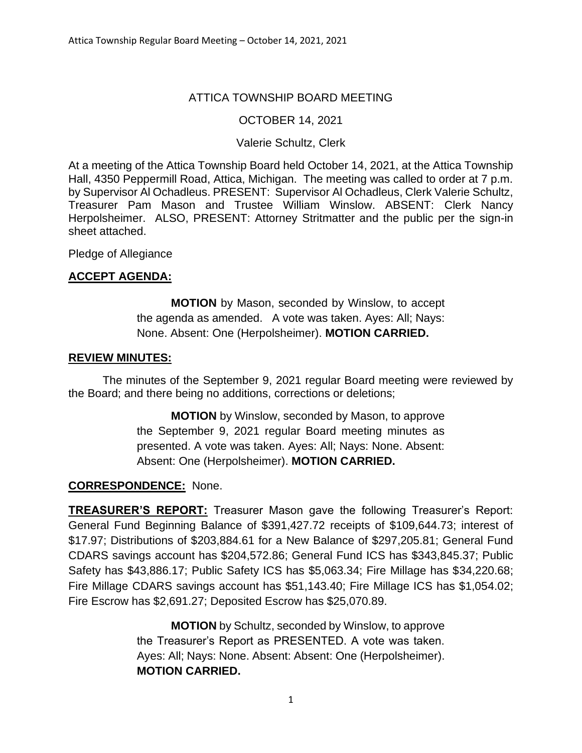## ATTICA TOWNSHIP BOARD MEETING

### OCTOBER 14, 2021

### Valerie Schultz, Clerk

At a meeting of the Attica Township Board held October 14, 2021, at the Attica Township Hall, 4350 Peppermill Road, Attica, Michigan. The meeting was called to order at 7 p.m. by Supervisor Al Ochadleus. PRESENT: Supervisor Al Ochadleus, Clerk Valerie Schultz, Treasurer Pam Mason and Trustee William Winslow. ABSENT: Clerk Nancy Herpolsheimer. ALSO, PRESENT: Attorney Stritmatter and the public per the sign-in sheet attached.

Pledge of Allegiance

## **ACCEPT AGENDA:**

**MOTION** by Mason, seconded by Winslow, to accept the agenda as amended. A vote was taken. Ayes: All; Nays: None. Absent: One (Herpolsheimer). **MOTION CARRIED.**

#### **REVIEW MINUTES:**

The minutes of the September 9, 2021 regular Board meeting were reviewed by the Board; and there being no additions, corrections or deletions;

> **MOTION** by Winslow, seconded by Mason, to approve the September 9, 2021 regular Board meeting minutes as presented. A vote was taken. Ayes: All; Nays: None. Absent: Absent: One (Herpolsheimer). **MOTION CARRIED.**

### **CORRESPONDENCE:** None.

**TREASURER'S REPORT:** Treasurer Mason gave the following Treasurer's Report: General Fund Beginning Balance of \$391,427.72 receipts of \$109,644.73; interest of \$17.97; Distributions of \$203,884.61 for a New Balance of \$297,205.81; General Fund CDARS savings account has \$204,572.86; General Fund ICS has \$343,845.37; Public Safety has \$43,886.17; Public Safety ICS has \$5,063.34; Fire Millage has \$34,220.68; Fire Millage CDARS savings account has \$51,143.40; Fire Millage ICS has \$1,054.02; Fire Escrow has \$2,691.27; Deposited Escrow has \$25,070.89.

> **MOTION** by Schultz, seconded by Winslow, to approve the Treasurer's Report as PRESENTED. A vote was taken. Ayes: All; Nays: None. Absent: Absent: One (Herpolsheimer). **MOTION CARRIED.**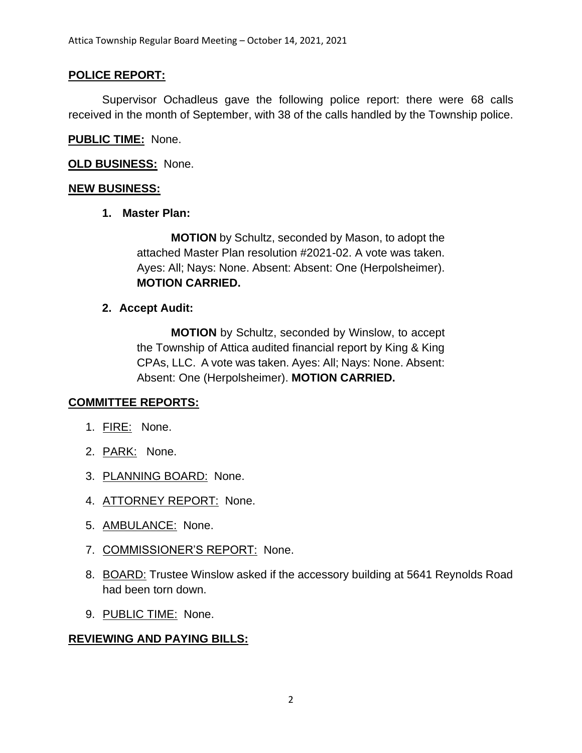# **POLICE REPORT:**

Supervisor Ochadleus gave the following police report: there were 68 calls received in the month of September, with 38 of the calls handled by the Township police.

## **PUBLIC TIME:** None.

**OLD BUSINESS:** None.

## **NEW BUSINESS:**

**1. Master Plan:**

**MOTION** by Schultz, seconded by Mason, to adopt the attached Master Plan resolution #2021-02. A vote was taken. Ayes: All; Nays: None. Absent: Absent: One (Herpolsheimer). **MOTION CARRIED.**

## **2. Accept Audit:**

**MOTION** by Schultz, seconded by Winslow, to accept the Township of Attica audited financial report by King & King CPAs, LLC. A vote was taken. Ayes: All; Nays: None. Absent: Absent: One (Herpolsheimer). **MOTION CARRIED.**

### **COMMITTEE REPORTS:**

- 1. FIRE: None.
- 2. PARK: None.
- 3. PLANNING BOARD: None.
- 4. ATTORNEY REPORT: None.
- 5. AMBULANCE: None.
- 7. COMMISSIONER'S REPORT: None.
- 8. BOARD: Trustee Winslow asked if the accessory building at 5641 Reynolds Road had been torn down.
- 9. PUBLIC TIME: None.

# **REVIEWING AND PAYING BILLS:**